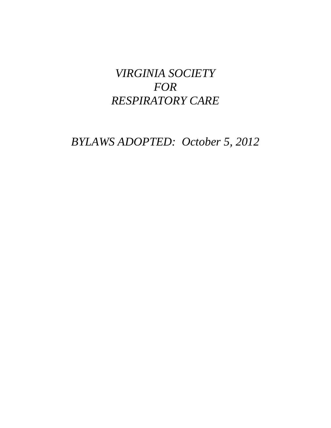# *VIRGINIA SOCIETY FOR RESPIRATORY CARE*

*BYLAWS ADOPTED: October 5, 2012*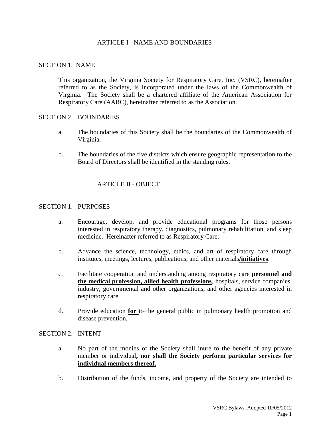## ARTICLE I - NAME AND BOUNDARIES

#### SECTION 1. NAME

This organization, the Virginia Society for Respiratory Care, Inc. (VSRC), hereinafter referred to as the Society, is incorporated under the laws of the Commonwealth of Virginia. The Society shall be a chartered affiliate of the American Association for Respiratory Care (AARC), hereinafter referred to as the Association.

#### SECTION 2. BOUNDARIES

- a. The boundaries of this Society shall be the boundaries of the Commonwealth of Virginia.
- b. The boundaries of the five districts which ensure geographic representation to the Board of Directors shall be identified in the standing rules.

# ARTICLE II - OBJECT

## SECTION 1. PURPOSES

- a. Encourage, develop, and provide educational programs for those persons interested in respiratory therapy, diagnostics, pulmonary rehabilitation, and sleep medicine. Hereinafter referred to as Respiratory Care.
- b. Advance the science, technology, ethics, and art of respiratory care through institutes, meetings, lectures, publications, and other materials**/initiatives**.
- c. Facilitate cooperation and understanding among respiratory care **personnel and the medical profession, allied health professions**, hospitals, service companies, industry, governmental and other organizations, and other agencies interested in respiratory care.
- d. Provide education **for** to the general public in pulmonary health promotion and disease prevention.

# SECTION 2. INTENT

- a. No part of the monies of the Society shall inure to the benefit of any private member or individual**, nor shall the Society perform particular services for individual members thereof.**
- b. Distribution of the funds, income, and property of the Society are intended to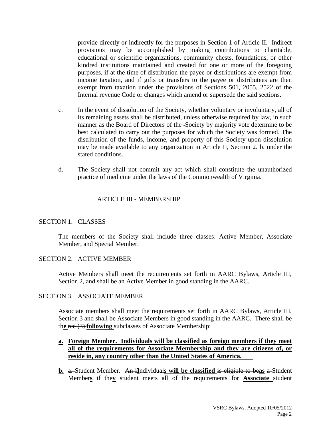provide directly or indirectly for the purposes in Section 1 of Article II. Indirect provisions may be accomplished by making contributions to charitable, educational or scientific organizations, community chests, foundations, or other kindred institutions maintained and created for one or more of the foregoing purposes, if at the time of distribution the payee or distributions are exempt from income taxation, and if gifts or transfers to the payee or distributees are then exempt from taxation under the provisions of Sections 501, 2055, 2522 of the Internal revenue Code or changes which amend or supersede the said sections.

- c. In the event of dissolution of the Society, whether voluntary or involuntary, all of its remaining assets shall be distributed, unless otherwise required by law, in such manner as the Board of Directors of the Society by majority vote determine to be best calculated to carry out the purposes for which the Society was formed. The distribution of the funds, income, and property of this Society upon dissolution may be made available to any organization in Article II, Section 2. b. under the stated conditions.
- d. The Society shall not commit any act which shall constitute the unauthorized practice of medicine under the laws of the Commonwealth of Virginia.

## ARTICLE III - MEMBERSHIP

#### SECTION 1. CLASSES

The members of the Society shall include three classes: Active Member, Associate Member, and Special Member.

#### SECTION 2. ACTIVE MEMBER

Active Members shall meet the requirements set forth in AARC Bylaws, Article III, Section 2, and shall be an Active Member in good standing in the AARC.

#### SECTION 3. ASSOCIATE MEMBER

Associate members shall meet the requirements set forth in AARC Bylaws, Article III, Section 3 and shall be Associate Members in good standing in the AARC. There shall be th**e** ree (3) **following** subclasses of Associate Membership:

# **a. Foreign Member. Individuals will be classified as foreign members if they meet all of the requirements for Associate Membership and they are citizens of, or reside in, any country other than the United States of America.**

**b.** a. Student Member. An i**I**ndividual**s will be classified** is eligible to be**as** a Student Member**s** if the**y** student meets all of the requirements for **Associate** student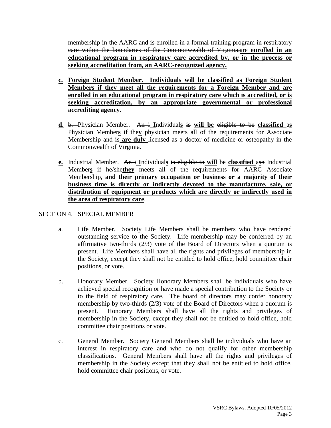membership in the AARC and is enrolled in a formal training program in respiratory care within the boundaries of the Commonwealth of Virginia.are **enrolled in an educational program in respiratory care accredited by, or in the process or seeking accreditation from, an AARC-recognized agency.**

- **c. Foreign Student Member. Individuals will be classified as Foreign Student Members if they meet all the requirements for a Foreign Member and are enrolled in an educational program in respiratory care which is accredited, or is seeking accreditation, by an appropriate governmental or professional accrediting agency.**
- **d.** b. Physician Member. An i **I**ndividual**s** is **will be** eligible to be **classified** a**s** Physician Member**s** if the**y** physician meets all of the requirements for Associate Membership and is **are duly** licensed as a doctor of medicine or osteopathy in the Commonwealth of Virginia.
- **e.** Industrial Member. An i **I**ndividual**s** is eligible to **will** be **classified** a**s**n Industrial Member**s** if he/she**they** meets all of the requirements for AARC Associate Membership**, and their primary occupation or business or a majority of their business time is directly or indirectly devoted to the manufacture, sale, or distribution of equipment or products which are directly or indirectly used in the area of respiratory care**.

# SECTION 4. SPECIAL MEMBER

- a. Life Member. Society Life Members shall be members who have rendered outstanding service to the Society. Life membership may be conferred by an affirmative two-thirds  $(2/3)$  vote of the Board of Directors when a quorum is present. Life Members shall have all the rights and privileges of membership in the Society, except they shall not be entitled to hold office, hold committee chair positions, or vote.
- b. Honorary Member. Society Honorary Members shall be individuals who have achieved special recognition or have made a special contribution to the Society or to the field of respiratory care. The board of directors may confer honorary membership by two-thirds (2/3) vote of the Board of Directors when a quorum is present. Honorary Members shall have all the rights and privileges of membership in the Society, except they shall not be entitled to hold office, hold committee chair positions or vote.
- c. General Member. Society General Members shall be individuals who have an interest in respiratory care and who do not qualify for other membership classifications. General Members shall have all the rights and privileges of membership in the Society except that they shall not be entitled to hold office, hold committee chair positions, or vote.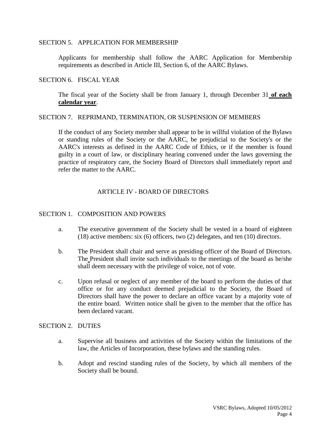#### SECTION 5. APPLICATION FOR MEMBERSHIP

Applicants for membership shall follow the AARC Application for Membership requirements as described in Article III, Section 6, of the AARC Bylaws.

#### SECTION 6. FISCAL YEAR

The fiscal year of the Society shall be from January 1, through December 31 **of each calendar year**.

#### SECTION 7. REPRIMAND, TERMINATION, OR SUSPENSION OF MEMBERS

If the conduct of any Society member shall appear to be in willful violation of the Bylaws or standing rules of the Society or the AARC, be prejudicial to the Society's or the AARC's interests as defined in the AARC Code of Ethics, or if the member is found guilty in a court of law, or disciplinary hearing convened under the laws governing the practice of respiratory care, the Society Board of Directors shall immediately report and refer the matter to the AARC.

## ARTICLE IV - BOARD OF DIRECTORS

# SECTION 1. COMPOSITION AND POWERS

- a. The executive government of the Society shall be vested in a board of eighteen (18) active members: six (6) officers, two (2) delegates, and ten (10) directors.
- b. The President shall chair and serve as presiding officer of the Board of Directors. The President shall invite such individuals to the meetings of the board as he/she shall deem necessary with the privilege of voice, not of vote.
- c. Upon refusal or neglect of any member of the board to perform the duties of that office or for any conduct deemed prejudicial to the Society, the Board of Directors shall have the power to declare an office vacant by a majority vote of the entire board. Written notice shall be given to the member that the office has been declared vacant.

## SECTION 2. DUTIES

- a. Supervise all business and activities of the Society within the limitations of the law, the Articles of Incorporation, these bylaws and the standing rules.
- b. Adopt and rescind standing rules of the Society, by which all members of the Society shall be bound.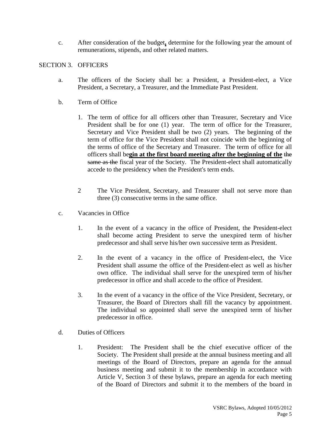c. After consideration of the budget**,** determine for the following year the amount of remunerations, stipends, and other related matters.

# SECTION 3. OFFICERS

- a. The officers of the Society shall be: a President, a President-elect, a Vice President, a Secretary, a Treasurer, and the Immediate Past President.
- b. Term of Office
	- 1. The term of office for all officers other than Treasurer, Secretary and Vice President shall be for one (1) year. The term of office for the Treasurer, Secretary and Vice President shall be two (2) years. The beginning of the term of office for the Vice President shall not coincide with the beginning of the terms of office of the Secretary and Treasurer. The term of office for all officers shall be**gin at the first board meeting after the beginning of the** the same as the fiscal year of the Society. The President-elect shall automatically accede to the presidency when the President's term ends.
	- 2 The Vice President, Secretary, and Treasurer shall not serve more than three (3) consecutive terms in the same office.
- c. Vacancies in Office
	- 1. In the event of a vacancy in the office of President, the President-elect shall become acting President to serve the unexpired term of his/her predecessor and shall serve his/her own successive term as President.
	- 2. In the event of a vacancy in the office of President-elect, the Vice President shall assume the office of the President-elect as well as his/her own office. The individual shall serve for the unexpired term of his/her predecessor in office and shall accede to the office of President.
	- 3. In the event of a vacancy in the office of the Vice President, Secretary, or Treasurer, the Board of Directors shall fill the vacancy by appointment. The individual so appointed shall serve the unexpired term of his/her predecessor in office.
- d. Duties of Officers
	- 1. President: The President shall be the chief executive officer of the Society. The President shall preside at the annual business meeting and all meetings of the Board of Directors, prepare an agenda for the annual business meeting and submit it to the membership in accordance with Article V, Section 3 of these bylaws, prepare an agenda for each meeting of the Board of Directors and submit it to the members of the board in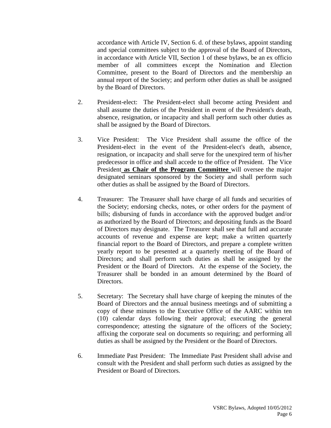accordance with Article IV, Section 6. d. of these bylaws, appoint standing and special committees subject to the approval of the Board of Directors, in accordance with Article VII, Section 1 of these bylaws, be an ex officio member of all committees except the Nomination and Election Committee, present to the Board of Directors and the membership an annual report of the Society; and perform other duties as shall be assigned by the Board of Directors.

- 2. President-elect: The President-elect shall become acting President and shall assume the duties of the President in event of the President's death, absence, resignation, or incapacity and shall perform such other duties as shall be assigned by the Board of Directors.
- 3. Vice President: The Vice President shall assume the office of the President-elect in the event of the President-elect's death, absence, resignation, or incapacity and shall serve for the unexpired term of his/her predecessor in office and shall accede to the office of President. The Vice President **as Chair of the Program Committee** will oversee the major designated seminars sponsored by the Society and shall perform such other duties as shall be assigned by the Board of Directors.
- 4. Treasurer: The Treasurer shall have charge of all funds and securities of the Society; endorsing checks, notes, or other orders for the payment of bills; disbursing of funds in accordance with the approved budget and/or as authorized by the Board of Directors; and depositing funds as the Board of Directors may designate. The Treasurer shall see that full and accurate accounts of revenue and expense are kept; make a written quarterly financial report to the Board of Directors, and prepare a complete written yearly report to be presented at a quarterly meeting of the Board of Directors; and shall perform such duties as shall be assigned by the President or the Board of Directors. At the expense of the Society, the Treasurer shall be bonded in an amount determined by the Board of Directors.
- 5. Secretary: The Secretary shall have charge of keeping the minutes of the Board of Directors and the annual business meetings and of submitting a copy of these minutes to the Executive Office of the AARC within ten (10) calendar days following their approval; executing the general correspondence; attesting the signature of the officers of the Society; affixing the corporate seal on documents so requiring; and performing all duties as shall be assigned by the President or the Board of Directors.
- 6. Immediate Past President: The Immediate Past President shall advise and consult with the President and shall perform such duties as assigned by the President or Board of Directors.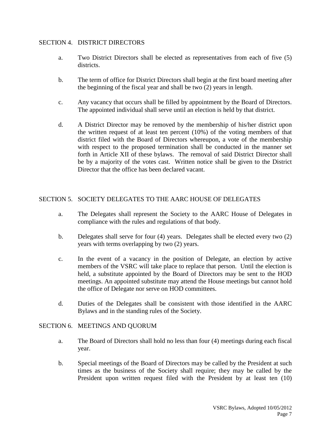# SECTION 4. DISTRICT DIRECTORS

- a. Two District Directors shall be elected as representatives from each of five (5) districts.
- b. The term of office for District Directors shall begin at the first board meeting after the beginning of the fiscal year and shall be two (2) years in length.
- c. Any vacancy that occurs shall be filled by appointment by the Board of Directors. The appointed individual shall serve until an election is held by that district.
- d. A District Director may be removed by the membership of his/her district upon the written request of at least ten percent (10%) of the voting members of that district filed with the Board of Directors whereupon, a vote of the membership with respect to the proposed termination shall be conducted in the manner set forth in Article XII of these bylaws. The removal of said District Director shall be by a majority of the votes cast. Written notice shall be given to the District Director that the office has been declared vacant.

# SECTION 5. SOCIETY DELEGATES TO THE AARC HOUSE OF DELEGATES

- a. The Delegates shall represent the Society to the AARC House of Delegates in compliance with the rules and regulations of that body.
- b. Delegates shall serve for four (4) years. Delegates shall be elected every two (2) years with terms overlapping by two (2) years.
- c. In the event of a vacancy in the position of Delegate, an election by active members of the VSRC will take place to replace that person. Until the election is held, a substitute appointed by the Board of Directors may be sent to the HOD meetings. An appointed substitute may attend the House meetings but cannot hold the office of Delegate nor serve on HOD committees.
- d. Duties of the Delegates shall be consistent with those identified in the AARC Bylaws and in the standing rules of the Society.

## SECTION 6. MEETINGS AND QUORUM

- a. The Board of Directors shall hold no less than four (4) meetings during each fiscal year.
- b. Special meetings of the Board of Directors may be called by the President at such times as the business of the Society shall require; they may be called by the President upon written request filed with the President by at least ten (10)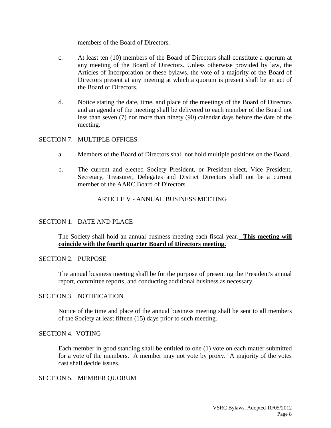members of the Board of Directors.

- c. At least ten (10) members of the Board of Directors shall constitute a quorum at any meeting of the Board of Directors. Unless otherwise provided by law, the Articles of Incorporation or these bylaws, the vote of a majority of the Board of Directors present at any meeting at which a quorum is present shall be an act of the Board of Directors.
- d. Notice stating the date, time, and place of the meetings of the Board of Directors and an agenda of the meeting shall be delivered to each member of the Board not less than seven (7) nor more than ninety (90) calendar days before the date of the meeting.

## SECTION 7. MULTIPLE OFFICES

- a. Members of the Board of Directors shall not hold multiple positions on the Board.
- b. The current and elected Society President, or President-elect, Vice President, Secretary, Treasurer, Delegates and District Directors shall not be a current member of the AARC Board of Directors.

# ARTICLE V - ANNUAL BUSINESS MEETING

## SECTION 1. DATE AND PLACE

The Society shall hold an annual business meeting each fiscal year. **This meeting will coincide with the fourth quarter Board of Directors meeting.**

## SECTION 2. PURPOSE

The annual business meeting shall be for the purpose of presenting the President's annual report, committee reports, and conducting additional business as necessary.

#### SECTION 3. NOTIFICATION

Notice of the time and place of the annual business meeting shall be sent to all members of the Society at least fifteen (15) days prior to such meeting.

#### SECTION 4. VOTING

Each member in good standing shall be entitled to one (1) vote on each matter submitted for a vote of the members. A member may not vote by proxy. A majority of the votes cast shall decide issues.

#### SECTION 5. MEMBER QUORUM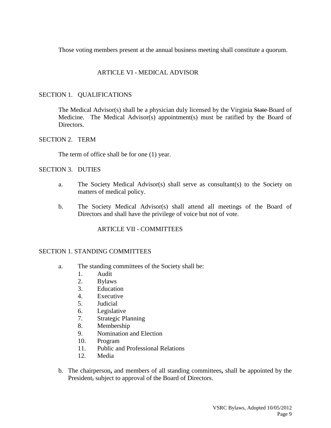Those voting members present at the annual business meeting shall constitute a quorum.

# ARTICLE VI - MEDICAL ADVISOR

# SECTION 1. QUALIFICATIONS

The Medical Advisor(s) shall be a physician duly licensed by the Virginia State Board of Medicine. The Medical Advisor(s) appointment(s) must be ratified by the Board of Directors.

## SECTION 2. TERM

The term of office shall be for one (1) year.

## SECTION 3. DUTIES

- a. The Society Medical Advisor(s) shall serve as consultant(s) to the Society on matters of medical policy.
- b. The Society Medical Advisor(s) shall attend all meetings of the Board of Directors and shall have the privilege of voice but not of vote.

## ARTICLE VII - COMMITTEES

#### SECTION 1. STANDING COMMITTEES

- a. The standing committees of the Society shall be:
	- 1. Audit
	- 2. Bylaws
	- 3. Education
	- 4. Executive
	- 5. Judicial
	- 6. Legislative
	- 7. Strategic Planning
	- 8. Membership
	- 9. Nomination and Election
	- 10. Program
	- 11. Public and Professional Relations
	- 12. Media
- b. The chairperson**,** and members of all standing committees**,** shall be appointed by the President, subject to approval of the Board of Directors.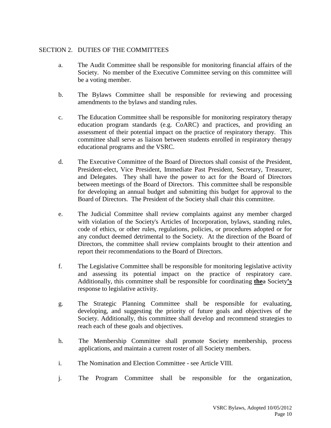# SECTION 2. DUTIES OF THE COMMITTEES

- a. The Audit Committee shall be responsible for monitoring financial affairs of the Society. No member of the Executive Committee serving on this committee will be a voting member.
- b. The Bylaws Committee shall be responsible for reviewing and processing amendments to the bylaws and standing rules.
- c. The Education Committee shall be responsible for monitoring respiratory therapy education program standards (e.g. CoARC) and practices, and providing an assessment of their potential impact on the practice of respiratory therapy. This committee shall serve as liaison between students enrolled in respiratory therapy educational programs and the VSRC.
- d. The Executive Committee of the Board of Directors shall consist of the President, President-elect, Vice President, Immediate Past President, Secretary, Treasurer, and Delegates. They shall have the power to act for the Board of Directors between meetings of the Board of Directors. This committee shall be responsible for developing an annual budget and submitting this budget for approval to the Board of Directors. The President of the Society shall chair this committee.
- e. The Judicial Committee shall review complaints against any member charged with violation of the Society's Articles of Incorporation, bylaws, standing rules, code of ethics, or other rules, regulations, policies, or procedures adopted or for any conduct deemed detrimental to the Society. At the direction of the Board of Directors, the committee shall review complaints brought to their attention and report their recommendations to the Board of Directors.
- f. The Legislative Committee shall be responsible for monitoring legislative activity and assessing its potential impact on the practice of respiratory care. Additionally, this committee shall be responsible for coordinating **the**a Society**'s** response to legislative activity.
- g. The Strategic Planning Committee shall be responsible for evaluating, developing, and suggesting the priority of future goals and objectives of the Society. Additionally, this committee shall develop and recommend strategies to reach each of these goals and objectives.
- h. The Membership Committee shall promote Society membership, process applications, and maintain a current roster of all Society members.
- i. The Nomination and Election Committee see Article VIII.
- j. The Program Committee shall be responsible for the organization,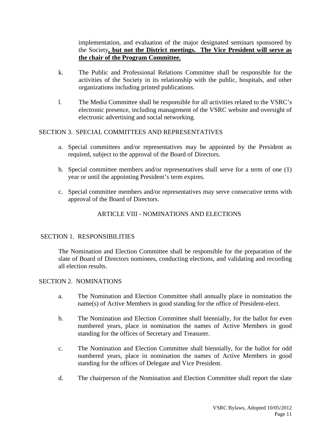implementation, and evaluation of the major designated seminars sponsored by the Society**, but not the District meetings. The Vice President will serve as the chair of the Program Committee.**

- k. The Public and Professional Relations Committee shall be responsible for the activities of the Society in its relationship with the public, hospitals, and other organizations including printed publications.
- l. The Media Committee shall be responsible for all activities related to the VSRC's electronic presence, including management of the VSRC website and oversight of electronic advertising and social networking.

# SECTION 3. SPECIAL COMMITTEES AND REPRESENTATIVES

- a. Special committees and/or representatives may be appointed by the President as required, subject to the approval of the Board of Directors.
- b. Special committee members and/or representatives shall serve for a term of one (1) year or until the appointing President's term expires.
- c. Special committee members and/or representatives may serve consecutive terms with approval of the Board of Directors.

# ARTICLE VIII - NOMINATIONS AND ELECTIONS

# SECTION 1. RESPONSIBILITIES

The Nomination and Election Committee shall be responsible for the preparation of the slate of Board of Directors nominees, conducting elections, and validating and recording all election results.

# SECTION 2. NOMINATIONS

- a. The Nomination and Election Committee shall annually place in nomination the name(s) of Active Members in good standing for the office of President-elect.
- b. The Nomination and Election Committee shall biennially, for the ballot for even numbered years, place in nomination the names of Active Members in good standing for the offices of Secretary and Treasurer.
- c. The Nomination and Election Committee shall biennially, for the ballot for odd numbered years, place in nomination the names of Active Members in good standing for the offices of Delegate and Vice President.
- d. The chairperson of the Nomination and Election Committee shall report the slate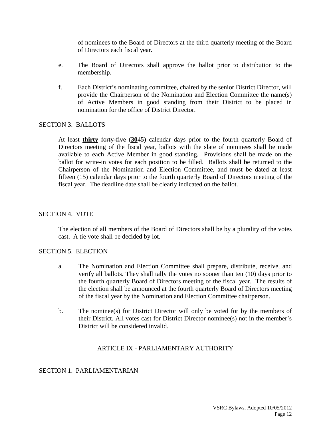of nominees to the Board of Directors at the third quarterly meeting of the Board of Directors each fiscal year.

- e. The Board of Directors shall approve the ballot prior to distribution to the membership.
- f. Each District's nominating committee, chaired by the senior District Director, will provide the Chairperson of the Nomination and Election Committee the name(s) of Active Members in good standing from their District to be placed in nomination for the office of District Director.

## SECTION 3. BALLOTS

At least **thirty** forty-five (**30**45) calendar days prior to the fourth quarterly Board of Directors meeting of the fiscal year, ballots with the slate of nominees shall be made available to each Active Member in good standing. Provisions shall be made on the ballot for write-in votes for each position to be filled. Ballots shall be returned to the Chairperson of the Nomination and Election Committee, and must be dated at least fifteen (15) calendar days prior to the fourth quarterly Board of Directors meeting of the fiscal year. The deadline date shall be clearly indicated on the ballot.

#### SECTION 4. VOTE

The election of all members of the Board of Directors shall be by a plurality of the votes cast. A tie vote shall be decided by lot.

#### SECTION 5. ELECTION

- a. The Nomination and Election Committee shall prepare, distribute, receive, and verify all ballots. They shall tally the votes no sooner than ten (10) days prior to the fourth quarterly Board of Directors meeting of the fiscal year. The results of the election shall be announced at the fourth quarterly Board of Directors meeting of the fiscal year by the Nomination and Election Committee chairperson.
- b. The nominee(s) for District Director will only be voted for by the members of their District. All votes cast for District Director nominee(s) not in the member's District will be considered invalid.

#### ARTICLE IX - PARLIAMENTARY AUTHORITY

# SECTION 1. PARLIAMENTARIAN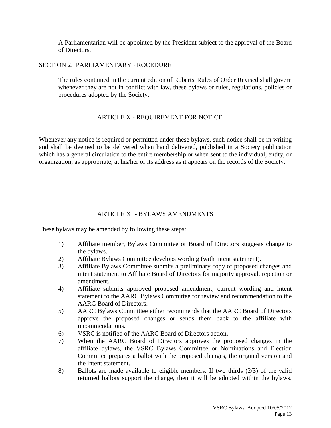A Parliamentarian will be appointed by the President subject to the approval of the Board of Directors.

# SECTION 2. PARLIAMENTARY PROCEDURE

The rules contained in the current edition of Roberts' Rules of Order Revised shall govern whenever they are not in conflict with law, these bylaws or rules, regulations, policies or procedures adopted by the Society.

# ARTICLE X - REQUIREMENT FOR NOTICE

Whenever any notice is required or permitted under these bylaws, such notice shall be in writing and shall be deemed to be delivered when hand delivered, published in a Society publication which has a general circulation to the entire membership or when sent to the individual, entity, or organization, as appropriate, at his/her or its address as it appears on the records of the Society.

# ARTICLE XI - BYLAWS AMENDMENTS

These bylaws may be amended by following these steps:

- 1) Affiliate member, Bylaws Committee or Board of Directors suggests change to the bylaws.
- 2) Affiliate Bylaws Committee develops wording (with intent statement).
- 3) Affiliate Bylaws Committee submits a preliminary copy of proposed changes and intent statement to Affiliate Board of Directors for majority approval, rejection or amendment.
- 4) Affiliate submits approved proposed amendment, current wording and intent statement to the AARC Bylaws Committee for review and recommendation to the AARC Board of Directors.
- 5) AARC Bylaws Committee either recommends that the AARC Board of Directors approve the proposed changes or sends them back to the affiliate with recommendations.
- 6) VSRC is notified of the AARC Board of Directors action**.**
- 7) When the AARC Board of Directors approves the proposed changes in the affiliate bylaws, the VSRC Bylaws Committee or Nominations and Election Committee prepares a ballot with the proposed changes, the original version and the intent statement.
- 8) Ballots are made available to eligible members. If two thirds (2/3) of the valid returned ballots support the change, then it will be adopted within the bylaws.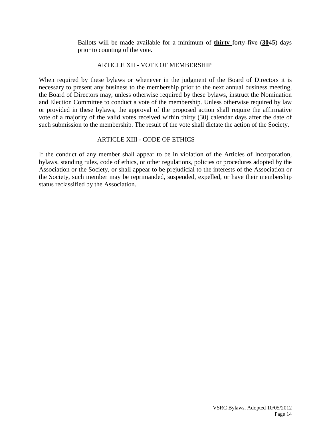Ballots will be made available for a minimum of **thirty** forty five (**30**45) days prior to counting of the vote.

## ARTICLE XII - VOTE OF MEMBERSHIP

When required by these bylaws or whenever in the judgment of the Board of Directors it is necessary to present any business to the membership prior to the next annual business meeting, the Board of Directors may, unless otherwise required by these bylaws, instruct the Nomination and Election Committee to conduct a vote of the membership. Unless otherwise required by law or provided in these bylaws, the approval of the proposed action shall require the affirmative vote of a majority of the valid votes received within thirty (30) calendar days after the date of such submission to the membership. The result of the vote shall dictate the action of the Society.

# ARTICLE XIII - CODE OF ETHICS

If the conduct of any member shall appear to be in violation of the Articles of Incorporation, bylaws, standing rules, code of ethics, or other regulations, policies or procedures adopted by the Association or the Society, or shall appear to be prejudicial to the interests of the Association or the Society, such member may be reprimanded, suspended, expelled, or have their membership status reclassified by the Association.